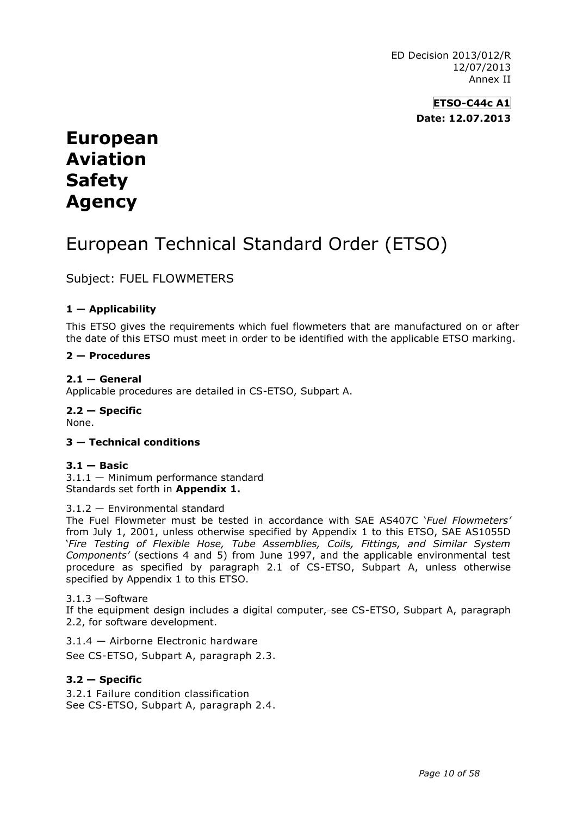ED Decision 2013/012/R 12/07/2013 Annex II

> **ETSO-C44c A1 Date: 12.07.2013**

# **European Aviation Safety Agency**

# European Technical Standard Order (ETSO)

Subject: FUEL FLOWMETERS

# **1 — Applicability**

This ETSO gives the requirements which fuel flowmeters that are manufactured on or after the date of this ETSO must meet in order to be identified with the applicable ETSO marking.

# **2 — Procedures**

# $2.1 -$  General

Applicable procedures are detailed in CS-ETSO, Subpart A.

**2.2 — Specific** None.

#### **3 — Technical conditions**

## **3.1 — Basic**

3.1.1 — Minimum performance standard Standards set forth in **Appendix 1.**

#### 3.1.2 — Environmental standard

The Fuel Flowmeter must be tested in accordance with SAE AS407C '*Fuel Flowmeters'* from July 1, 2001, unless otherwise specified by Appendix 1 to this ETSO, SAE AS1055D '*Fire Testing of Flexible Hose, Tube Assemblies, Coils, Fittings, and Similar System Components'* (sections 4 and 5) from June 1997, and the applicable environmental test procedure as specified by paragraph 2.1 of CS-ETSO, Subpart A, unless otherwise specified by Appendix 1 to this ETSO.

#### 3.1.3 —Software

If the equipment design includes a digital computer, see CS-ETSO, Subpart A, paragraph 2.2, for software development.

3.1.4 — Airborne Electronic hardware

See CS-ETSO, Subpart A, paragraph 2.3.

#### **3.2 — Specific**

3.2.1 Failure condition classification See CS-ETSO, Subpart A, paragraph 2.4.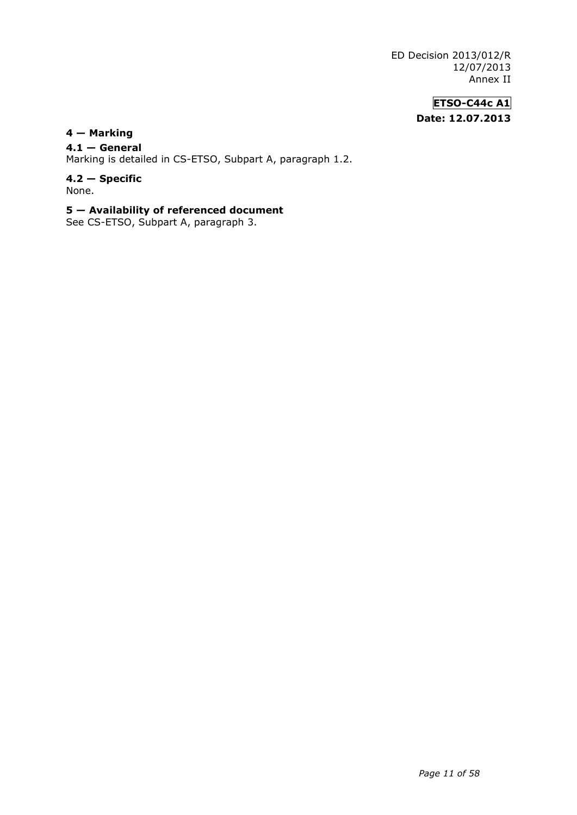ED Decision 2013/012/R 12/07/2013 Annex II

# **ETSO-C44c A1 Date: 12.07.2013**

# **4 — Marking**

# **4.1 — General**

Marking is detailed in CS-ETSO, Subpart A, paragraph 1.2.

#### **4.2 — Specific** None.

# **5 — Availability of referenced document**

See CS-ETSO, Subpart A, paragraph 3.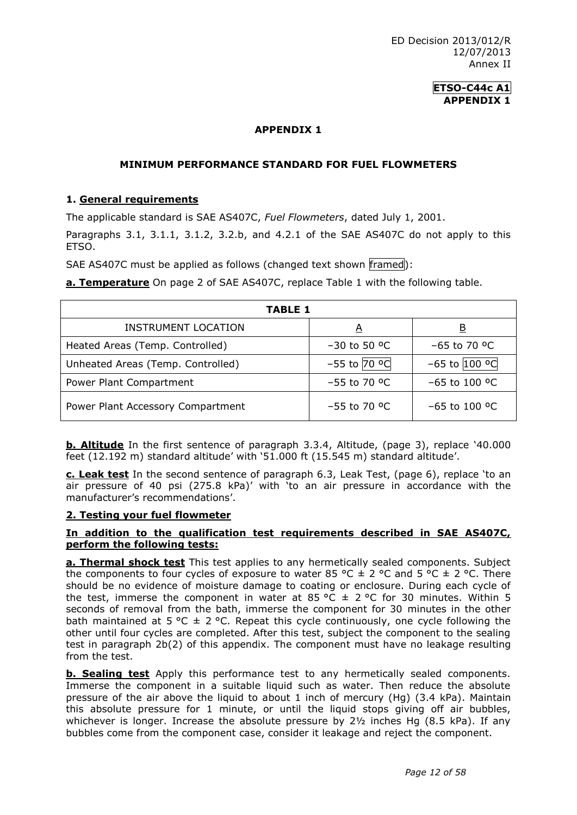# **ETSO-C44c A1 APPENDIX 1**

# **APPENDIX 1**

## **MINIMUM PERFORMANCE STANDARD FOR FUEL FLOWMETERS**

# **1. General requirements**

The applicable standard is SAE AS407C, *Fuel Flowmeters*, dated July 1, 2001.

Paragraphs 3.1, 3.1.1, 3.1.2, 3.2.b, and 4.2.1 of the SAE AS407C do not apply to this ETSO.

SAE AS407C must be applied as follows (changed text shown framed):

**a. Temperature** On page 2 of SAE AS407C, replace Table 1 with the following table.

| TABLE 1                           |                  |                   |
|-----------------------------------|------------------|-------------------|
| <b>INSTRUMENT LOCATION</b>        | A                | <u>B</u>          |
| Heated Areas (Temp. Controlled)   | $-30$ to 50 °C   | $-65$ to 70 °C    |
| Unheated Areas (Temp. Controlled) | $-55$ to $70$ °C | $-65$ to $100$ °C |
| Power Plant Compartment           | $-55$ to 70 °C   | $-65$ to 100 °C   |
| Power Plant Accessory Compartment | $-55$ to 70 °C   | $-65$ to 100 °C   |

**b. Altitude** In the first sentence of paragraph 3.3.4, Altitude, (page 3), replace '40.000 feet (12.192 m) standard altitude' with '51.000 ft (15.545 m) standard altitude'.

**c. Leak test** In the second sentence of paragraph 6.3, Leak Test, (page 6), replace 'to an air pressure of 40 psi (275.8 kPa)' with 'to an air pressure in accordance with the manufacturer's recommendations'.

# **2. Testing your fuel flowmeter**

#### **In addition to the qualification test requirements described in SAE AS407C, perform the following tests:**

**a. Thermal shock test** This test applies to any hermetically sealed components. Subject the components to four cycles of exposure to water 85 °C  $\pm$  2 °C and 5 °C  $\pm$  2 °C. There should be no evidence of moisture damage to coating or enclosure. During each cycle of the test, immerse the component in water at 85 °C  $\pm$  2 °C for 30 minutes. Within 5 seconds of removal from the bath, immerse the component for 30 minutes in the other bath maintained at 5 °C  $\pm$  2 °C. Repeat this cycle continuously, one cycle following the other until four cycles are completed. After this test, subject the component to the sealing test in paragraph 2b(2) of this appendix. The component must have no leakage resulting from the test.

**b. Sealing test** Apply this performance test to any hermetically sealed components. Immerse the component in a suitable liquid such as water. Then reduce the absolute pressure of the air above the liquid to about 1 inch of mercury (Hg) (3.4 kPa). Maintain this absolute pressure for 1 minute, or until the liquid stops giving off air bubbles, whichever is longer. Increase the absolute pressure by  $2\frac{1}{2}$  inches Hg (8.5 kPa). If any bubbles come from the component case, consider it leakage and reject the component.